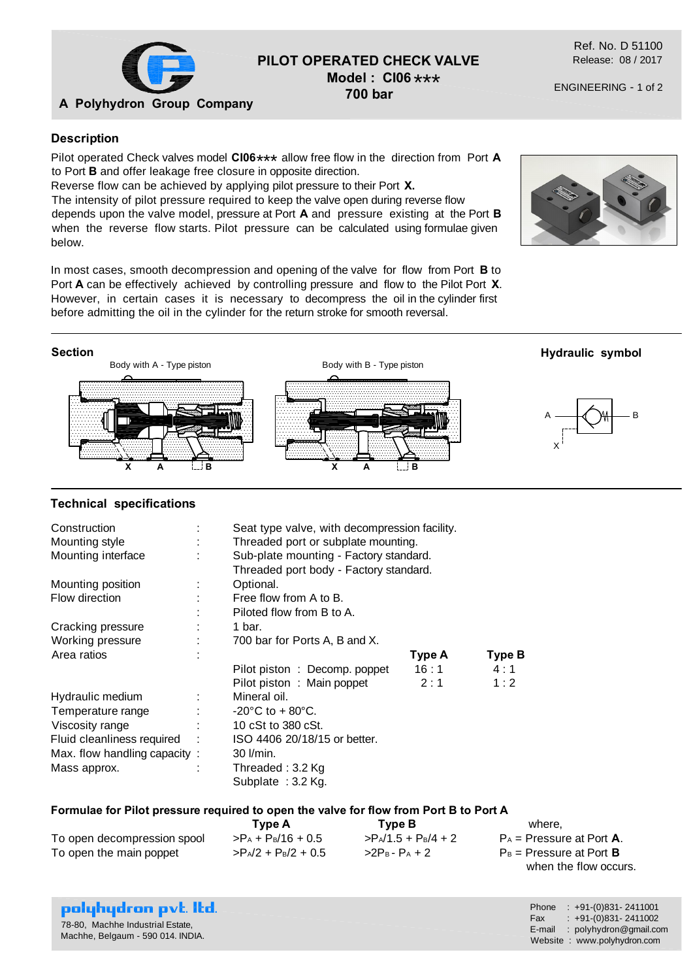

# **PILOT OPERATED CHECK VALVE Model : CI06** \*\*\*

**700 bar**

Ref. No. D 51100 Release: 08 / 2017

ENGINEERING - 1 of 2

### **Description**

Pilot operated Check valves model **CI06**\*\*\* allow free flow in the direction from Port **A** to Port **B** and offer leakage free closure in opposite direction.

Reverse flow can be achieved by applying pilot pressure to their Port **X.**

The intensity of pilot pressure required to keep the valve open during reverse flow depends upon the valve model, pressure at Port **A** and pressure existing at the Port **B** when the reverse flow starts. Pilot pressure can be calculated using formulae given below.

In most cases, smooth decompression and opening of the valve for flow from Port **B** to Port **A** can be effectively achieved by controlling pressure and flow to the Pilot Port **X**. However, in certain cases it is necessary to decompress the oil in the cylinder first before admitting the oil in the cylinder for the return stroke for smooth reversal.





#### **Technical specifications**

| Construction                 |  | Seat type valve, with decompression facility.                                    |        |        |  |
|------------------------------|--|----------------------------------------------------------------------------------|--------|--------|--|
| Mounting style               |  | Threaded port or subplate mounting.                                              |        |        |  |
| Mounting interface           |  | Sub-plate mounting - Factory standard.<br>Threaded port body - Factory standard. |        |        |  |
|                              |  |                                                                                  |        |        |  |
| Mounting position            |  | Optional.                                                                        |        |        |  |
| Flow direction               |  | Free flow from A to B.                                                           |        |        |  |
|                              |  | Piloted flow from B to A.                                                        |        |        |  |
| Cracking pressure            |  | 1 bar.                                                                           |        |        |  |
| Working pressure             |  | 700 bar for Ports A, B and X.                                                    |        |        |  |
| Area ratios                  |  |                                                                                  | Type A | Type B |  |
|                              |  | Pilot piston: Decomp. poppet                                                     | 16:1   | 4:1    |  |
|                              |  | Pilot piston: Main poppet                                                        | 2:1    | 1:2    |  |
| Hydraulic medium             |  | Mineral oil.                                                                     |        |        |  |
| Temperature range            |  | $-20^{\circ}$ C to + 80 $^{\circ}$ C.                                            |        |        |  |
| Viscosity range              |  | 10 cSt to 380 cSt.                                                               |        |        |  |
| Fluid cleanliness required   |  | ISO 4406 20/18/15 or better.                                                     |        |        |  |
| Max. flow handling capacity: |  | $30$ $l/min$ .                                                                   |        |        |  |
| Mass approx.                 |  | Threaded: 3.2 Kg                                                                 |        |        |  |
|                              |  | Subplate: 3.2 Kg.                                                                |        |        |  |

#### **Formulae for Pilot pressure required to open the valve for flow from Port B to Port A**

|                             | Tvpe A                 | Type B                 | where,                              |
|-----------------------------|------------------------|------------------------|-------------------------------------|
| To open decompression spool | $> P_A + P_B/16 + 0.5$ | $>P_A/1.5 + P_B/4 + 2$ | $P_A$ = Pressure at Port <b>A</b> . |
| To open the main poppet     | $>P_A/2 + P_B/2 + 0.5$ | $>2P_B - P_A + 2$      | $P_B$ = Pressure at Port <b>B</b>   |
|                             |                        |                        | when the flow occurs.               |

| <b>polyhydron p</b> vt. Itd.      |  |
|-----------------------------------|--|
| 78-80, Machhe Industrial Estate,  |  |
| Machhe, Belgaum - 590 014. INDIA. |  |